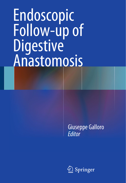# Endoscopic Follow-up of Digestive Anastomosis

Giuseppe Galloro *Editor*

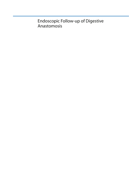Endoscopic Follow-up of Digestive Anastomosis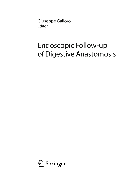Giuseppe Galloro Editor

# Endoscopic Follow-up of Digestive Anastomosis

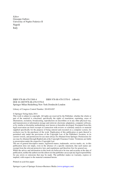*Editor*  Giuseppe Galloro University of Naples Federico II Napoli Italy

 ISBN 978-88-470-5369-4 ISBN 978-88-470-5370-0 (eBook) DOI 10.1007/978-88-470-5370-0 Springer Milan Heidelberg New York Dordrecht London

Library of Congress Control Number: 2014934307

© Springer-Verlag Italia 2014

 This work is subject to copyright. All rights are reserved by the Publisher, whether the whole or part of the material is concerned, specifically the rights of translation, reprinting, reuse of illustrations, recitation, broadcasting, reproduction on microfilms or in any other physical way, and transmission or information storage and retrieval, electronic adaptation, computer software, or by similar or dissimilar methodology now known or hereafter developed. Exempted from this legal reservation are brief excerpts in connection with reviews or scholarly analysis or material supplied specifically for the purpose of being entered and executed on a computer system, for exclusive use by the purchaser of the work. Duplication of this publication or parts thereof is permitted only under the provisions of the Copyright Law of the Publisher's location, in its current version, and permission for use must always be obtained from Springer. Permissions for use may be obtained through RightsLink at the Copyright Clearance Center. Violations are liable to prosecution under the respective Copyright Law.

 The use of general descriptive names, registered names, trademarks, service marks, etc. in this publication does not imply, even in the absence of a specific statement, that such names are exempt from the relevant protective laws and regulations and therefore free for general use.

 While the advice and information in this book are believed to be true and accurate at the date of publication, neither the authors nor the editors nor the publisher can accept any legal responsibility for any errors or omissions that may be made. The publisher makes no warranty, express or implied, with respect to the material contained herein.

Printed on acid-free paper

Springer is part of Springer Science+Business Media ([www.springer.com\)](www.springer.com)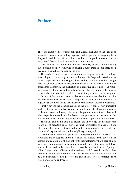# **Preface**

 There are undoubtedly several books and atlases, available on the shelves of scientific bookstores, regarding digestive endoscopy and investigating both diagnostic and therapeutic techniques, and all those publications are surely very useful from a didactic and technical point of view.

 What is, then, the rationale of this new text? My purpose in undertaking the editorship of this volume was to develop a monograph about a topic often treated in a superficial or even vague way.

 The study of anastomosis is one of the most frequent indications in diagnostic digestive endoscopy, and the endoscopist is frequently asked to treat some complications of the surgical interventions, such as bleeding, benign strictures, neoplastic recurrences, and dehiscences, by the means of operative procedures. Moreover, the evaluation of a digestive anastomosis can represent a source of worries and anxiety, especially for the junior professionals, because they are confronted with the new anatomy modified by the surgeon.

 In spite of this, in most cases, textbooks and atlases available for practitioners devote just a few pages or short paragraphs to the endoscopic follow-up of digestive anastomosis and to the endoscopic treatment of their complications.

 Finally, beyond the technical aspects of the topic, it appears very important to clarify the logistic points of view of the problem: what is the appropriateness of the endoscopic follow-up, who should be put under surveillance, how and when to perform surveillance, has biopsy been performed, and what about the useful tools of endo-ultrasonography, chromoendoscopy, and magnification?

 The main goal of this text is to present the knowledge about endoscopic follow-up of digestive anastomosis as much completely as possible, both illustrating diagnostic protocols and operative techniques, in the global perspective of a systematic and multidisciplinary monograph.

 I would like to seize the opportunity to express my thankfulness to collaborators and colleagues. In the first place, my sincere thanks go to all the authors and contributors of the book: with their efforts they have been able to share and communicate their scientific knowledge and enthusiasm to all those who will read and study this volume. Secondly, my thanks to the Springer editorial team, who believed in this endeavor and followed it with professionalism. Finally, my thoughts go to the readers: we hope this volume will be a contribution to their professional growth and foster a comprehensive vision of digestive endoscopy.

Naples, Italy Giuseppe Galloro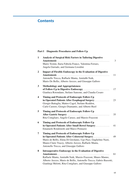# **Contents**

|                  | Part I Diagnostic Procedures and Follow-Up                                                                                                                                                                                                                               |    |
|------------------|--------------------------------------------------------------------------------------------------------------------------------------------------------------------------------------------------------------------------------------------------------------------------|----|
| 1                | <b>Analysis of Surgical Risk Factors in Tailoring Digestive</b><br>Mario Testini, Ilaria Fabiola Franco, Valentina Ferraro,<br>Angela Gurrado, and Germana Lissidini                                                                                                     | 3  |
| $\boldsymbol{2}$ | <b>Impact of Flexible Endoscopy in the Evaluation of Digestive</b><br>Antonello Trecca, Raffaele Manta, Amitabh Naik,<br>Mario De Bellis, Alberto Arezzo, and Giuseppe Galloro                                                                                           | 11 |
| 3                | <b>Methodology and Appropriateness</b><br>of Follow-Up in Digestive Endoscopy<br>Gianluca Rotondano, Stefano Sansone, and Claudia Cesaro                                                                                                                                 | 17 |
| 4                | <b>Timing and Protocols of Endoscopic Follow-Up</b><br>in Operated Patients After Esophageal Surgery<br>Giorgio Battaglia, Matteo Cagol, Stefano Realdon,<br>Carlo Castoro, Giorgio Diamantis, and Alberto Ruol                                                          | 23 |
| 5                | <b>Timing and Protocols of Endoscopic Follow-Up</b><br>Rita Conigliaro, Angelo Caruso, and Marzio Frazzoni                                                                                                                                                               | 35 |
| 6                | Timing and Protocols of Endoscopic Follow-Up<br>in Operated Patients After Small Bowel Surgery<br><b>Emanuele Rondonotti and Marco Pennazio</b>                                                                                                                          | 41 |
| 7                | <b>Timing and Protocols of Endoscopic Follow-Up</b><br>in Operated Patients After Colorectal Surgery<br>Mario de Bellis, Elena Di Girolamo, Ugo Pace, Guglielmo Nasti,<br>Maura Claire Tracey, Alberto Arezzo, Raffaele Manta,<br>Antonello Trecca, and Giuseppe Galloro | 49 |
| 8                | <b>Intraoperative Endoscopy in the Evaluation of Digestive</b><br>Raffaele Manta, Amitabh Naik, Marzio Frazzoni, Mauro Manno,<br>Alberto Arezzo, Mario de Bellis, Antonello Trecca, Gabrio Bassotti,<br>Gianluigi Melotti, Rita Conigliaro, and Giuseppe Galloro         | 61 |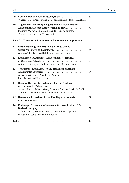| $\boldsymbol{9}$ | Contribution of Endo-ultrasonography<br>Vincenzo Napolitano, Maria C. Bondanese, and Manuela Avellino                                                                                                         | 67  |
|------------------|---------------------------------------------------------------------------------------------------------------------------------------------------------------------------------------------------------------|-----|
| 10               | <b>Augmented Endoscopy Imaging in the Study of Digestive</b><br>Anastomosis: Does It Really Work and How?<br>Makomo Makazu, Takahisa Matsuda, Taku Sakamoto,<br>Takeshi Nakajima, and Yutaka Saito            | 77  |
|                  | <b>Therapeutic Procedures of Anastomotic Complications</b><br>Part II                                                                                                                                         |     |
| 11               | <b>Physiopathology and Treatment of Anastomotic</b><br>Ulcer: An Emerging Pathology?<br>Angelo Zullo, Lorenzo Ridola, and Cesare Hassan                                                                       | 85  |
| 12               | <b>Endoscopic Treatment of Anastomotic Recurrences</b><br>Antonella De Ceglie, Andrea Parodi, and Massimo Conio                                                                                               | 93  |
| 13               | <b>Therapeutic Endoscopy for the Treatment of Benign</b><br>Alessandro Casadei, Angelo De Padova,<br>Ilaria Manzi, and Enrico Ricci                                                                           | 105 |
| 14               | <b>Review: Therapeutic Endoscopy for the Treatment</b><br>of Anastomotic Dehiscences<br>Alberto Arezzo, Mauro Verra, Giuseppe Galloro, Mario de Bellis,<br>Antonello Trecca, Raffaele Manta, and Mario Morino | 119 |
| 15               | Hemostatic Procedures in the Bleeding Anastomosis<br><b>Bjorn Rembacken</b>                                                                                                                                   | 131 |
| 16               | <b>Endoscopic Treatment of Anastomotic Complications After</b><br>Alfredo Genco, Roberta Maselli, Massimiliano Cipriano,<br>Giovanni Casella, and Adriano Redler                                              | 137 |
|                  |                                                                                                                                                                                                               | 149 |

viii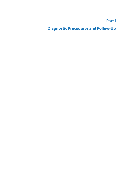**Part I** 

 **Diagnostic Procedures and Follow-Up**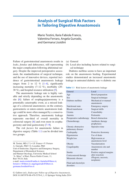# **1 Analysis of Surgical Risk Factors in Tailoring Digestive Anastomosis**

Mario Testini, Ilaria Fabiola Franco, Valentina Ferraro, Angela Gurrado, and Germana Lissidini

 Failure of gastrointestinal anastomosis results in *leaks*, *fistulas* and dehiscence, still representing the major complication following abdominal surgery. Despite the improved perioperative assessment, the standardization of surgical technique, and the use of innovative devices, reported incidence of gastrointestinal anastomosis leakage ranges from 2 to 12  $%$  [1-4], significantly increasing mortality  $(7-12, %),$  morbidity  $(20-)$ 30 %), and hospital resource utilization  $[5]$ .

 The anastomotic leakage rate is highly variable and strictly depending on the anastomotic site  $[6]$ : failure of esophagojejunostomy is a potentially catastrophic event, as a missed leakage of a colorectal anastomosis; on the contrary, gastroenteric or entero-enteric anastomosis leakage could be more often managed by a conservative approach. Therefore, anastomotic leakage represents one-third of overall mortality in colorectal surgery  $[6]$  and even more in esophagectomy and total gastrectomy [7–9].

 The *risk factors* for anastomotic failure in digestive surgery (Table  $1.1$ ) can be divided into two groups:

 Unit of Endocrine, Digestive and Emergency Surgery, Department of Biomedical Sciences

and Human Oncology, University Medical School "A. Moro" of Bari, Piazza Giulio Cesare, 11, Bari 70124 , Italy

 e-mail: [mario.testini@uniba.it;](mailto:mario.testini@uniba.it) [ilariafrn@libero.it;](mailto:ilariafrn@libero.it) [ferrarov.v@libero.it;](mailto:ferrarov.v@libero.it) [angelagurrado@libero.it](mailto:angelagurrado@libero.it); [germana.lissidini@ieo.it](mailto:germana.lissidini@ieo.it)

- (a) General
- (b) Local also including factors related to surgical technique

 Diabetes mellitus seems to have an important role on the anastomosis healing. Experimental studies demonstrated an increased anastomotic leakage in untreated diabetic rats vs diabetic one

 **Table 1.1** Risk factors of anastomotic leakage

| General                                  | Local                                |
|------------------------------------------|--------------------------------------|
| Age                                      | Bowel preparation                    |
| <b>Sex</b>                               | Surgical technique                   |
| Diabetes mellitus                        | Mechanical or manual<br>anastomosis  |
| Nutritional state                        | Emergency surgery                    |
| <b>Blood transfusion</b>                 | Surgical skills                      |
| Uremia                                   | Comorbidity                          |
| Anemia                                   | Peritonitis                          |
| Preoperative radiotherapy                | Bowel obstruction                    |
| Chemotherapy                             | Antibiotic therapy<br>prophylaxis    |
| Chronic obstructive<br>pulmonary disease | Operative time                       |
| Cardiopathy                              | Protective ileostomy                 |
| Hypotension                              | Use of drain                         |
| Weight loss                              | High tension at<br>anastomosis level |
| Obesity                                  | Vascularization                      |
| Coagulopathy                             | Anastomosis site and<br>number       |
| Smoke                                    | Positive surgical margins            |
| Corticosteroid therapy                   | after resection                      |
| Metastatic disease                       | (Flogosis, necrosis,<br>neoplasia)   |
| Fluid and electrolyte<br>disorders       |                                      |

M. Testini, MD  $(\boxtimes) \cdot$  I.F. Franco  $\cdot$  V. Ferraro

A. Gurrado, PhD · G. Lissidini, PhD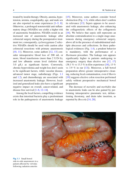treated by insulin therapy. Obesity, anemia, hypotension, uremia, coagulopathy, age, and male sex are also reported in some experiences  $[1-5, 8]$ . Otherwise, a prolonged nonsteroidal anti-inflammatory drugs (NSAIDs) use yields a higher risk of anastomotic breakdown. NSAIDs result in an increased rate of anastomotic leakage after colorectal surgery during the postoperative treatment too; consequently, cyclooxygenase-2 selective NSAIDs should be used with caution after colorectal resections with primary anastomosis  $[10, 11]$ . Moreover, some authors  $[12, 13]$  consider intraoperative blood loss of 200 mL or more, blood transfusions (more than 2 U/24 h), and low albumin serum level (inferior than 3.0 g/L) as significant factors. Conversely, chronic hypovolemia and weight loss don't seem to be significant factors, while vascular disease, advanced tumor stage, radiotherapy (Figs. 1.1 and  $1.2$ ), and chemotherapy are associated with increased anastomotic leakage. However, localized and generalized leaks also have a significant negative impact on overall, cancer-related, and disease-free survival  $[1-8, 12-14]$ .

 Among the local factors, compelling evidence exists that intestinal bacteria play a predominant role in the pathogenesis of anastomotic leakage

[15]. Moreover, some authors consider bowel obstruction (Fig.  $1.3$ ), while others don't confirm its relevance  $[13]$ . Sepsis appears to be associated with anastomosis leakage, also enhancing the collagenolytic effects of the collagenosis  $[16]$ . We believe that sepsis still represents an absolute contraindication to a single-stage anastomosis during emergency colorectal surgery, above all in the presence of endoabdominal multiple abscesses and collections. In these pathological evidences (Fig.  $1.4$ ), a prudent behavior is mandatory, with the performance of a *Hartmann* procedure. The leakage rate appears significantly higher in patients undergoing to emergency surgery than elective one  $[12, 17]$ (38.1 % vs 13.3 % in *Kim* experience [18], 13 % vs 3.9 % in our  $[13]$ ). Moreover, a full bowel preparation allows greater intraoperative cleaning, reducing fecal contamination, even if *Harris* [19] suggests elective colon resection performed safely without preoperative mechanical bowel preparation.

 The decrease of *mortality* and *morbidity* due to anastomotic leaks can be also gained by performing intraoperative pneumatic test, defunctioning ileostomy, and drain tube insertion, as reported by *Boccola* [14, 20].



 **Fig. 1.1** Small bowel side-to-side anastomosis in a patient affected by volvulus following radiation enteritis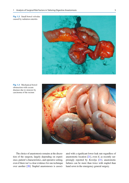**Fig. 1.2** Small bowel volvulus caused by radiation enteritis



 **Fig. 1.3** Mechanical bowel obstruction with cecum diastase due to stenosis by carcinoma of the rectum



 The choice of anastomosis remains at the discretion of the surgeon, largely depending on experience, patient's characteristics, and operative setting, even if there isn't a clear evidence for one technique over another  $[20]$ . Stapled anastomoses is associated with a significant lower leak rate regardless of anastomotic location  $[21]$ , even if, as recently surprisingly reported by *Korolija* [21], anastomotic failures can be more than twice with stapled than hand sewn in the emergency general surgery.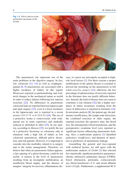

 **Fig. 1.4** Pelvic abscess from perforated carcinoma of the rectum

 The anastomosis site represents one of the main problems in the digestive surgery. In fact, low colorectal  $[12, 14]$  as well as esophagus– jejunal  $[8, 9]$  anastomoses are associated with a higher incidence of failure. In this regard, *Montesani* reported re-peritonealizing and technical changes in the mechanical suture as useful in order to reduce failures following low anterior resection  $[22]$ . No differences in anastomotic colorectal leak are reported between laparoscopic and open surgery  $[23]$ , even if a lower incidence in the laparoscopic one is reported in a recent review  $(3.0-17\% \text{ vs } 0-23.0\%)$  [24]. The use of a protective stoma is controversial, with widespread use in some experience and markedly reduced or abolished in other  $[25]$ . In our opinion, according to *Hansen* [25], we justify the use of a protective ileostomy or colostomy only in situations with a high risk of failure as low colorectal anastomosis, difficult pelvic dissection, and risk patients. However, it is important to consider also the morbidity related to re-surgery and to the stoma management. Therefore, we believe that when an anastomotic failure appears, a late opening of a ghost-ileostomy could be not useful. A tension at the level of anastomosis resulting from an incomplete mobilization, an insufficient blood supply, and the absence of margins' integrity for necrosis, inflammatory dis-

ease, or cancer are univoquely accepted as highrisk local factors  $[1]$ . For these reasons a proper mobilization of the splenic flexure is essential to prevent the stretching on the anastomosis in left colon *resective surgery* [12]; otherwise, the low percentage of splenectomies of necessity reported in the literature does not justify different behaviors. Instead, the kind of disease does not seem to constitute a risk element  $[22]$  but a higher incidence of tumor recurrence resulting from the onset of dehiscence is reported in literature [14]. In univariate analysis  $[8]$ , the patient age, the pulmonary insufficiency, the lymph node dissection, the combined resection of other organs, the omental resection, the operative time, the blood loss, the intraoperative blood transfusion, and the postoperative creatinine level were reported as significant factors influencing anastomotic healing. Also, a multivariate analysis [1] identified *pulmonary insufficiency* and duration of operation as predictors of anastomotic leakage.

 Assembling the general and loco-regional with technical factors, we still agree with the multivariate analysis of *Golub* [3] that selected five statistically significant predictive parameters: chronic obstructive pulmonary disease (COPD), bowel obstruction, peritonitis, corticosteroids use, blood transfusion >2 U, and serum albumin level <3.0 g/L. Furthermore, a supplemental 80 %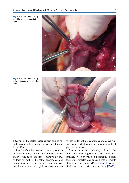**Fig. 1.5** Experimental study: small bowel anastomosis in the rabbit



 **Fig. 1.6** Experimental study: colo-colic anastomosis in the rabbit



FiO2 during the rectal cancer surgery and immediate postoperative period reduces anastomotic failure  $[26]$ .

 Despite of the importance of general, local, or technical factors, at the base of the anastomosis failure could be an "innermost" *primum movens* , to look for both at the pathophysiological and biochemical levels. In fact, it is not otherwise possible to explain leakage in anastomoses per-

formed under optimal conditions of elective surgery, using perfect technique, in patients without general risk factors.

Starting from this *rationale*, and from the higher leak rate in large than in small bowel anastomoses, we performed experimental studies comparing resected and anastomosed segments of small and large bowel (Figs.  $1.5$  and  $1.6$ ) using biochemical and tensiometric methods  $[27-29]$ .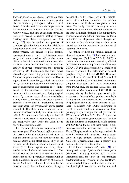Previous experimental studies showed an early and massive deposition of collagen and a greater distress of the large compared with the small bowel. It is also well known the importance of the maturation of collagen in the anastomosis *healing process* and that an adequate *metabolic energy* is needed to realize healing process. Starting from these assumptions, our first study  $[27]$  was to analyze the process of oxidative phosphorylation (mitochondrial function) in colon and small bowel during the anastomotic process. The results of polarographic, spectrophotometric, and gel-electrophoresis analysis showed a prevalence of oxidative metabolism in the colic mitochondria compared with the small bowel, demonstrated by an increased activity of oxygen consumption and enzymatic respiratory. On the contrary, the small bowel showed a prevalence of glycolytic metabolism. Summarizing these results, the small bowel burns sugars through anaerobic glycolysis to produce energy for collagen deposition and healing process of anastomosis, and therefore is less influenced by the decrease of available oxygen occurring in the anastomotic area during surgical stress. By contrast, colon shows a metabolism mainly linked to the oxidative phosphorylation, presents a more difficult anastomotic healing process in absence of oxygen, and shows a greater risk of leak. This observation is confirmed by the decrement of biochemical parameters in colonic cells. In fact, at the end of the study, we observed a small bowel tissue biochemically identical to the preoperative one, while the colon tissue showed marked differences.

In the second phase of our experiments  $[29]$ , we investigated if *biochemical differences* were also associated with motility and peristalsis. In fact, the aim was to verify in vitro how much the surgical stress could affect contractility of the smooth muscle (both spontaneous and agonist induced) of both organs, correlating these results to the biochemical parameters too. The results showed an anarchist contractility and late restart of colic peristalsis compared with an early and regular contractile activity of the small bowel. Such motor abnormalities may be the consequence of abnormal biochemical changes, because the ATP is necessary in the maintenance of membrane potentials, in calcium homeostasis, and in the actin–myosin interactions. The study showed that surgical stress determines abnormalities in the mitochondria of the smooth muscle, damaging the contractility. In consequence of a difficult process of collagen maturation and deposition, these changes are prevalent in the colon and may explain unexpected anastomotic leakage in the absence of apparent risk factors.

At confirm of these experimental results, an other retrospective study  $[30]$  showed a significant leakage rate (24.1 % vs 2.7 %, *P* = 0.001) in patients who underwent colic resection, affected by COPD compared with patients not affected by COPD. COPD is characterized by a condition of chronic hypoxemia that determines a reduced peripheral oxygen delivery (DaO2). However, the mechanism of control of blood flow and of oxygen extraction at intestinal level let the consumption of oxygen (VO2) to be independent from DaO2; thus, the reduced DaO2 does not influence the VO2 in patients with COPD. On the contrary, during the healing process of colic anastomosis, the need of oxygen increases, both for higher metabolic request related to the oxidative phosphorylation and for the synthesis of collagen. In patients with COPD undergoing to resective surgery and colic anastomosis, these pathophysiologic changes inevitably relate the VO2 to the insufficient DaO2. Therefore, the correction of impaired oxygen tension could reduce the high incidence of anastomotic leak in patients with COPD. On the basis of these results, a preoperative evaluation of respiratory tract (chest X-ray, CT, spirometric tests, hemogasanalysis) is essential before colic resective surgery, especially in aged patients affected by COPD. Moreover, a perioperative oxygen therapy also may facilitate anastomotic healing.

In a further *experimental study* [31] we investigated in pigs if *pericardium bovine patch* (Tutomesh®) wrapping ileoileal and colo-colic anastomosis seals the suture line and promotes anastomotic healing. By using integrated and translational methodologies, we described intraoperative, histological, biochemical, tensiometric, and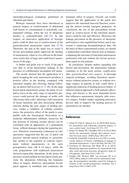electrophysiological evaluations performed on intestinal specimens.

 Biologic materials have been introduced in general surgery as reinforcement of abdominal wall hernia in contaminated or potentially contaminated settings, when the use of alloplastic meshes is contraindicated  $[26-31]$ . In this respect, an innovative application of biologic patch could be their use as reinforcement of the gastrointestinal anastomotic suture line  $[7-9]$ . Therefore, the aim of the study was to verify if bovine pericardium patch improved the healing of anastomosis, when in vivo affixed on the handsewn suture line of large and small bowel anastomosis of the pigs.

 A further end point was to verify if the patch was able to avoid anastomotic leakage in the presence of a deliberately incomplete left suture.

 The results showed that the application of a patch wrapping the colic anastomosis produces a positive effect in the healing compared with untreated samples also showing, during follow up, an almost full recovery  $[1-3, 26]$ . In the large bowel patch anastomosis group, the delay of oxidative stress in the early stage of reparative processes could prevent the damage of noble cells (like tissue stem cells), allowing a full restoration of tissue functions and also decreasing fibrotic reaction during the next stages of healing process. Under a condition of cellular oxidative stress, the protective effect of the patch is compatible with the histological observation of a moderate inflammatory infiltrate; moreover, the late increase of reacting oxygen species can be correlated with an appearance of a granulation tissue, without damages during the repairing process. Therefore, tensiometric evaluations in colic specimens suggested that the use of patch can preserve smooth muscle response to acetylcholine similar to the response of controls (specimens without anastomosis) in the early postoperative time (48 h–14 days), while the colic preparations with traditional anastomosis showed contractility alterations. In the ileum, the presence of pericardium bovine patch clearly prevents the alterations following the traumatic effect of surgery. However, pericardium bovine patch appears to modulate and counteract the traumatic effect of surgery. Overall, our results suggest that the application of the patch also improves the intestinal mucosal function, restoring the almost normal transport properties. In conclusion, the use of the pericardium bovine patch as *reinforcement* of the intestinal anastomosis could be safe and effective. Moreover, the leakage prevention in the presence of iatrogenic perforation is also unpublished before and it represents a surprising histopathological data. On the basis of these experimental results, we started a multicenter-controlled clinical trial in humans, comparing the outcomes of intestinal anastomosis performed with and without the bovine pericardium patch in risk patients.

 In conclusion, despite studies regarding risk factors and prevention, the anastomotic leakage continues to be the most serious *complication* after *gastrointestinal tract surgery* . A thorough surgical technique, avoiding hazardous anastomoses without protective stoma, or without twostage surgery in patients at risk, could allow a significant reduction of healing process failure. A tailored surgical approach to both patient's physiology and disease is the most important factor that influences anastomotic integrity after resective surgery. Further studies regarding innovative devices able to improve the healing process of anastomosis are needed.

#### **References**

- 1. Telem D, Chin E, Nguyen S et al (2010) Risk factors for anastomotic leak following colorectal surgery. A case–control study. Arch Surg 145:371–375
- 2. Kang CY, Halabi WJ, Chaudhry OO et al (2013) Risk factors for anastomotic leakage after anterior resection for rectal cancer. JAMA Surg 148(1):65–71
- 3. Golub R, Golub RW, Cantu R Jr et al (1997) A multivariate analysis of factors contributing to leakage of intestinal anastomoses. J Am Coll Surg 184:364–372
- 4. Trencheva K, Morrissey KP, Wells M et al (2013) Identifying important predictors for anastomotic leak after colon and rectal resection: prospective study on 616 patients. Ann Surg 257(1):108–113
- 5. Snijders HS, Wouters MW, van Leersum NJ et al (2012) Meta-analysis of the risk for anastomotic leakage, the postoperative mortality caused by leakage in relation to the overall postoperative mortality. Eur J Surg Oncol 38(11):1065–1070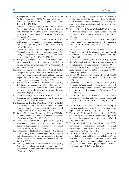- 6. Branagan G, Finnis D, Colorectal Cancer Audit Working Group et al (2005) Prognosis after anastomotic leakage in colorectal surgery. Dis Colon Rectum 48:1021–1026
- 7. Sierzega M, Kolodziejczyk P, Kulig J, Polish Gastric Cancer Study Group et al (2010) Impact of anastomotic leakage on long-term survival after total gastrectomy for carcinoma of the stomach. Br J Surg 97(7):1035–1042
- 8. Deguchi Y, Fukagawa T, Morita S et al (2012) Identification of risk factors for esophagojejunal anastomotic leakage after gastric surgery. World J Surg 36(7):1617–1622
- 9. Markar SR, Arya S, Karthikesalingam A et al (2013) Technical factors that affect anastomotic integrity following esophagectomy: systematic review and metaanalysis. Ann Surg Oncol 20(13):4274–81
- 10. Rutegård J, Rutegård M (2012) Non-steroidal antiinflammatory drugs in colorectal surgery: a risk factor for anastomotic complications? World J Gastrointest Surg 4(12):278–280
- 11. Klein M, Gögenur I, Rosenberg J et al (2012) Postoperative use of non-steroidal anti-inflammatory drugs in patients with anastomotic leakage requiring reoperation after colorectal resection: cohort study based on prospective data. BMJ 26(9):345, 1–13
- 12. Warschkow R, Steffen T, Thierbach J et al (2011) Risk factors for anastomotic leakage after rectal cancer resection and reconstruction with colorectostomy. A retrospective study with bootstrap analysis. Ann Surg Oncol 18(10):2772–2782
- 13. Testini M, Margari A, Amoruso M et al (2000) The dehiscence of colorectal anastomoses: the risk factors. Ann Ital Chir 71:433–440
- 14. Boccola MA, Buettner PG, Rozen WM et al (2011) Risk factors and outcomes for anastomotic leakage in colorectal surgery: a single-institution analysis of 1576 patients. World J Surg 35(1):186–195
- 15. Shogan BD, Carlisle EM, Alverdy JC et al (2013) Do we really know why colorectal anastomoses leak? J Gastrointest Surg 17(9):1698–1707
- 16. Miccini M, Borghese O, Scarpini M et al (2011) Anastomotic leakage and septic complications: impact on local recurrence in surgery of low rectal cancer. Ann Ital Chir 82(2):117–123
- 17. Matthiessen P, Hallböök O, Rutegård J et al (2007) Defunctioning stoma reduces symptomatic anastomotic leakage after low anterior resection of the rectum for cancer: a randomized multicenter trial. Ann Surg 246:207–214
- 18. Kim JJ, Liang MK, Subramanian A et al (2011) Predictors of relaparotomy after nontrauma emergency general surgery with initial fascial closure. Am J Surg 202(5):549–552
- 19. Harris LJ, Moudgill N, Hager E et al (2009) Incidence of anastomotic leak in patients undergoing elective colon resection without mechanical bowel preparation: our updated experience and two-year review. Am Surg 75(9):828–833
- 20. Boccola MA, Lin J, Rozen WM et al (2010) Reducing anastomotic leakage in oncologic colorectal surgery: an evidence-based review. Anticancer Res 30(2): 601–607
- 21. Korolija D (2008) The current evidence on stapled versus hand-sewn anastomoses in the digestive tract. Minim Invasive Ther Allied Technol 17(3): 151–154
- 22. Montesani C, De Milito R, Chiappalone S et al (1992) Critical evaluation of the anastomoses in large bowel experience in 533 cases. Hepatogastroenterology 39:304–308
- 23. El-Gazzaz G, Geisler D, Hull T et al (2010) Surgery: risk of clinical leak after laparoscopic versus open bowel anastomosis. Surg Endosc 24(8):1898–1903
- 24. Hotta T, Yamaue H (2011) Laparoscopic surgery for rectal cancer: review of published literature 2000– 2009. Surg Today 41(12):1583–1591
- 25. Hansen O, Schwenk W, Hucke HP et al (1996) Colorectal stapled anastomoses. Dis Colon Rectum 39:30–36
- 26. Schietroma M, Carlei F, Cecilia EM et al (2012) Colorectal infraperitoneal anastomosis: the effects of perioperative supplemental oxygen administration on the anastomotic dehiscence. J Gastrointest Surg 16(2):427–434
- 27. Testini M, Scacco S, Loiotila L et al (1998) Comparison of oxidative phosphorylation in the small vs large bowel anastomosis. Eur Surg Res 30(1):  $1 - 7$
- 28. Testini M, Piccinni G et al (1999) Wound healing of intestinal anastomosis after digestive surgery under septic condition. World J Surg 23:1315–1316
- 29. Testini M, Portincasa P, Scacco S et al (2002) Contractility in vitro and mitochondrial response in small and large anastomized rabbit bowel. World J Surg 26:493–498
- 30. Testini M, Miniello S, Piccinni G et al (2003) Correlation between chronic obstructive bronchial disease and colonic anastomosis dehiscence in the elderly. Ann Ital Chir 74:247–250
- 31. Portincasa P, Testini M et al (2011) The apposition of a resorbable pericardial Bovine patch (Tutomesh®) on intestinal anastomoses improves functional mucosal recovery in pig ileum and colon assessed by using chamber electrophysiological studies. Gastroenterology 140(5 suppl 1):S-656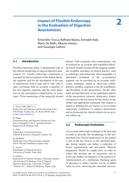# **Impact of Flexible Endoscopy 2 in the Evaluation of Digestive Anastomosis**

Antonello Trecca, Raffaele Manta, Amitabh Naik, Mario De Bellis, Alberto Arezzo, and Giuseppe Galloro

## **2.1 Introduction**

 Flexible endoscopy plays a fundamental role in the clinical monitoring of surgical digestive anastomosis  $[1]$ . Careful endoscopic exploration is essential for the recognition of the linked intestinal segments and for the description of the type of anastomosis (end to end, end to side, side to side), providing both an accurate evaluation of the new digestive anatomy and the early detection of any postsurgical complications or recurrence. Close monitoring of the surgically treated

A. Trecca, MD, PhD  $(\boxtimes)$ 

 Endoscopic and Operative Gastroenterology Units , USI Group, Via Baccina, 45, Rome 00184, Italy e-mail: [atrecca@alice.it](mailto:atrecca@alice.it)

R. Manta

Gastroenterology and Digestive Endoscopy Unit, Nuovo Ospedale Civile S. Agostino-Estense, Baggiovara di, Modena, Italy

 A. Naik Department of Gastroenterology, Ashford & St Peter's Hospitals, London, UK

 M. De Bellis Endoscopy Unit, National Cancer Institute and G. Pascale Foundation, Naples, Italy

 A. Arezzo Department of Surgical Sciences, University of Torino, Turin, Italy

G. Galloro

 Department of General, Geriatric, Oncologic Surgery and Advanced Technology, Unit of Surgical Digestive Endoscopy, University of Naples "Federico II"—School of Medicine, Naples, Italy

disease, both neoplastic and nonneoplastic, can be realized by an accurate and scheduled follow up which should consider all the imaging modalities available nowadays in clinical practice, such as radiology and endoscopic ultrasonography. A functional evaluation of the reconstructed segment can be provided by an accurate endoscopic technique aimed at observing caliber, patency, motility, response to the air insufflation, and flexibility of the anastomosis. On the other hand, prompt detection of any pathologic pattern of the anastomosis (stenosis, dehiscence, fistula, recurrence) is the key factor for the choice of any further and appropriate treatment. Our chapter is aimed at defining the key factors of an accurate endoscopic evaluation of surgical anastomosis and at discussing the clinical criteria for an accurate follow-up.

## **2.2 Endoscopic Evaluation**

An accurate endoscopic technique is the first step in order to describe the morphology of the new intestinal tract. Bowel preparation of the patient is one of the key factors, as the intestinal damage during surgery can induce a reduction of bowel segmentation and movement. Tailored preparation should be sought after, in order to reduce the missing rate of recurrence and to avoid any further reevaluation of the patient  $[2]$ . Administration of a cholinergic blocking agent or glucagon to reduce spasms can be of added value in close observing the intestinal mucosa.

G. Galloro (ed.), *Endoscopic Follow-up of Digestive Anastomosis*, 11 DOI 10.1007/978-88-470-5370-0\_2, © Springer-Verlag Italia 2014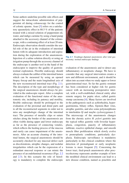Some authors underline possible side effects and suggest the intracolonic administration of peppermint oil during colonoscopy for the control of colonic spasms. Asao  $[3]$  refers on a satisfactory spasmolytic effect in 88.5 % of the patients treated with a mixed solution of peppermint oil, water, and indigo carmine by using a hand pump attached to the accessory channel of the colonoscope, with a continuing effect of at least 20 min. Endoscopic observation should consider the useful role of the air in the evaluation of intestinal lumen with its adequate introduction and aspiration during the exploration of the anastomosis. Injection of a saline solution directly or using an irrigation pump through the accessory channel of the endoscope is another tool in the hand of the endoscopist to improve the quality of gastrointestinal exploration. Flexible endoscopy should always evaluate the caliber of the intestinal lumen which can be measured by using an opened biopsy forcep and the main longitudinal axis of the new reconstructed intestinal tract  $(Fig. 2.1)$ . The description of the type and morphology of the surgical anastomosis should always be provided in the endoscopic report. After a complete evaluation of the functional status of the anastomotic site, including its patency and motility, flexible endoscopy should be prolonged to the evaluation of the proximal and distal parts and to all the reconstructed segments in order not to miss any morphologic change of the intestinal tract. The presence of metallic clips or suture stitches along the border of the anastomosis are often visible during upper and lower endoscopy as far as the presence of connecting venules, which reflects the healing process of the mucosa and rarely can cause impairment of the anastomosis. After an accurate cleaning of the intestinal lumen, the surgical anastomosis should be accurately checked for any mucosal defect such as discolorations, atrophic changes, and nodular irregularities which can be the expression of a redundant mucosal response or can mimic the presence of an endoluminal recurrence (Figs. 2.2 and 2.3). In this scenario the role of histology is mandatory to complete the endoscopic





 **Fig. 2.1** Esophago-digiunal anastomosis after total gastrectomy: normal endoscopic findings

 evaluation of the anastomosis and to detect any inflammatory or neoplastic change. We have to consider that any surgical intervention creates a new and different environment, and it should be taken into account when we study upper or lower gastrointestinal tract. So far the gastric remnant has been considered at higher risk for gastric cancer with an increasing postoperative interval, with a well-established clinical entity after remote surgery for peptic ulcer, called gastric stump carcinoma [4]. Many factors are involved in the pathogenesis such as achlorhydria, hypergastrinemia, biliary reflux, Epstein–Barr virus, atrophic gastritis, and also some polymorphisms in interleukin-1β and maybe cyclooxygenase-2. The microscopy of the anastomosis changes from the chronic active *H. pylori* gastritis into the typical reflux gastritis with foveolar hyperplasia, congestion, paucity of inflammatory infiltrate, reactive epithelial change, and smooth muscle fiber proliferation which slowly evolve to preneoplastic conditions, particularly dysplasia. Endoscopic surveillance is mandatory particularly in this clinical condition where the detection of premalignant or early neoplastic lesions is more frequent  $[5]$ . Concerning the lower tract, ileal-pouch anastomosis after proctocolectomy represents another example of how the modified clinical environment can lead to a new disease condition, named as pouchitis and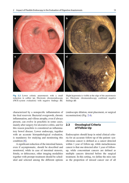

 **Fig. 2.2** Lower colonic anastomosis with a small reduction in caliber (a). Electronic chromoendoscopy (FICE-system evaluation) with negative findings (b).

Slight hyperemia is visible at the edge of the anastomosis (c). Electronic chromoendoscopy confirmed negative findings  $(d)$ 

characterized by a nonspecific inflammation of the ileal reservoir. Bacterial overgrowth, chronic inflammation, and villous atrophy, even if always present, can evolve in pouchitis in some cases, mainly after surgery for ulcerative colitis, and for this reason pouchitis is considered an inflammatory bowel disease. Lower endoscopy, together with an accurate histopathological evaluation, is mandatory for studying and monitoring this condition  $[6]$ .

A significant reduction of the intestinal lumen, even if asymptomatic, should be described and monitored, while in case of intestinal stenosis, fistula, or dehiscence, other imaging modalities together with prompt treatment should be scheduled and selected among the different options

(endoscopic dilation, stent placement, or surgical reconstruction) (Fig. 2.4).

### **2.3 Oncological Criteria of Follow-Up**

 Endoscopists should keep in mind clinical criteria for an accurate follow-up of the patient: synchronous cancer is defined as a cancer detected within 1 year of follow-up, while metachronous cancer is that one detected after 1 year of follow up, while concomitant cancers are defined as multiple cancers detected before the surgical treatment. In this setting, we define the miss rate as the proportion of missed cancer out of all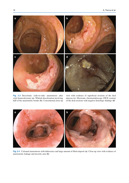

 **Fig. 2.3** Ileocolonic (side-to-side) anastomosis after *right* hemicolectomy (a). Whitish discoloration involving half of the anastomotic border (b). Conventional close-up

view with evidence of superficial erosions of the ileal mucosa (c). Electronic chromoendoscopy (FICE system) of the ileal erosions with negative histologic findings (d)



Fig. 2.4 Coloanal anastomosis with dehiscence and large amount of fibrin deposit (a). Close-up view with evidence of anastomotic leakage and necrotic area (**b**)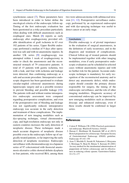synchronous cancer [7]. These parameters have been introduced in order to better define the oncological criteria of the endoscopic follow-up. Timing of the first endoscopic evaluation has been questioned as a risky procedure particularly when dealing with difficult anastomosis such as esophageal ones. Maish [8] reports as early endoscopy after esophagectomy provided reliable identification of graft ischemia in 63 over 102 patients of his series. Upper flexible endoscopy performed a median of 9 days after operation was safe and with no anastomotic injuries. In another UK series [9] esophagoscopy was attempted within 1 week of esophagectomy in order to check the anastomosis and the reconstructed stomach of 79 consecutive patients. A total of 15 patients with gastric ischemia, two with a leak, and four with ischemia and leakage were detected, thus confirming endoscopy as a safe and accurate procedure. Intraoperative endoscopic diagnosis has been questioned to evaluate circular-stapled colorectal anastomosis during laparoscopic surgery and as a possible resource to prevent bleeding and possible leakage  $[10]$ . The patients with and without routine intraoperative endoscopic assessment were compared regarding postoperative complications, and even if the postoperative rate of bleeding and leakage was not significantly reduced, intraoperative endoscopy was accurate in the early detection and treatment of these complications. The implementation of new imaging modalities such as dye-spraying technique, virtual chromoendoscopy, and high-resolution endoscopy not only in eastern countries increases the early detection of neoplastic disease. These techniques made a much accurate diagnosis of neoplastic disease possible even in the endoscopic follow-up of surgically treated patients, so far improving the early detection of neoplastic recurrence. Endoscopic surveillance with chromoendoscopy in a Japanese series of 97 colectomized with ileorectal anastomosis ulcerative colitis showed definite dysplasia in four patients, who received IRA; among them

two were adenocarcinoma with submucosal invasion  $[11, 12]$ . Postoperative surveillance endoscopy performed by an experienced endoscopist and with dye- spraying technique was useful to detect cancer at an early stage.

#### **Conclusions**

 Flexible endoscopy is of pivotal importance in the evaluation of surgical anastomosis, in the definition of early recurrence, and in the diagnosis and treatment of complications. Clinical follow-up of treated patients should be implemented together with other imaging modalities, even if early postoperative endoscopic evaluation can be scheduled in selected cases without anastomotic injuries and with no further risk for the patient. Accurate endoscopic technique is mandatory for early recognition of the reconstructed anatomy and to detect any anastomotic defect, while endoscopist should consider the primary disease responsible for surgery, the timing of the endoscopic surveillance, and the role of other imaging modalities. Diagnostic accuracy of conventional endoscopy can be improved by new emerging modalities such as chromoendoscopy and enhanced endoscopy, even if these results should be confirmed in larger series.

#### **References**

- 1. Cotton P, Williams CB (1996) Practical gastrointestinal endoscopy. Blackwell Science, Oxford
- 2. Hassan C, Bretthauer M, Kaminski MF et al (2013) Bowel preparation for colonoscopy: European Society of Gastrointestinal Endoscopy (ESGE) guideline. Endoscopy 45:142–150
- 3. Asao T, Mochiki E, Suzuki H, Nakamura J, Hirayama I, Morinaga N, Shoji H, Shitara Y, Kuwano H (2001) An easy method for the intraluminal administration of peppermint oil before colonoscopy and its effectiveness in reducing colonic spasms. Gastrointest Endosc 53:172–177